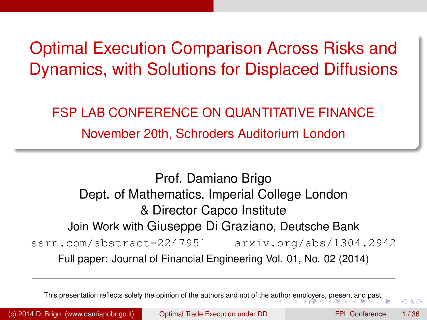# Optimal Execution Comparison Across Risks and Dynamics, with Solutions for Displaced Diffusions

#### FSP LAB CONFERENCE ON QUANTITATIVE FINANCE

November 20th, Schroders Auditorium London

Prof. Damiano Brigo Dept. of Mathematics, Imperial College London & Director Capco Institute Join Work with Giuseppe Di Graziano, Deutsche Bank ssrn.com/abstract=2247951 arxiv.org/abs/1304.2942 Full paper: Journal of Financial Engineering Vol. 01, No. 02 (2014)

This presentation reflects solely the opinion of the authors and not of the a[utho](#page-0-0)r [em](#page-1-0)[ploye](#page-0-0)[rs](#page-1-0)[, pre](#page-0-0)[s](#page-1-0)[en](#page-2-0)[t an](#page-0-0)[d](#page-1-0) [pa](#page-2-0)[st.](#page-0-0)

<span id="page-0-0"></span> $\cap$   $\cap$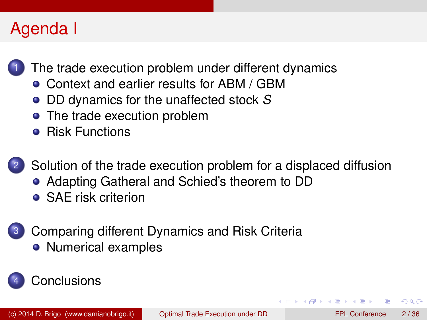# Agenda I

[The trade execution problem under different dynamics](#page-2-0)

- [Context and earlier results for ABM / GBM](#page-2-0)
- [DD dynamics for the unaffected stock](#page-10-0) *S*
- [The trade execution problem](#page-12-0)
- **•** [Risk Functions](#page-12-0)



2 [Solution of the trade execution problem for a displaced diffusion](#page-17-0)

- [Adapting Gatheral and Schied's theorem to DD](#page-17-0)
- **[SAE risk criterion](#page-23-0)**



3 [Comparing different Dynamics and Risk Criteria](#page-25-0) • [Numerical examples](#page-27-0)

## [Conclusions](#page-32-0)

<span id="page-1-0"></span> $\Omega$ 

ヨメ イヨメ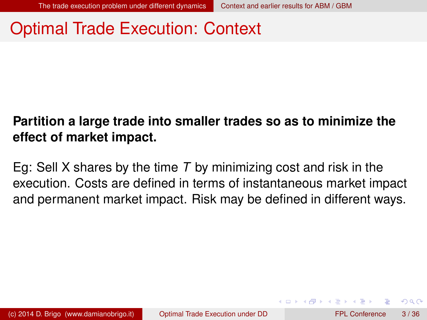#### Optimal Trade Execution: Context

#### **Partition a large trade into smaller trades so as to minimize the effect of market impact.**

<span id="page-2-0"></span>Eg: Sell X shares by the time *T* by minimizing cost and risk in the execution. Costs are defined in terms of instantaneous market impact and permanent market impact. Risk may be defined in different ways.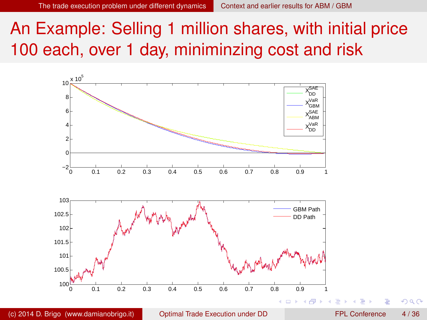An Example: Selling 1 million shares, with initial price 100 each, over 1 day, miniminzing cost and risk

<span id="page-3-0"></span>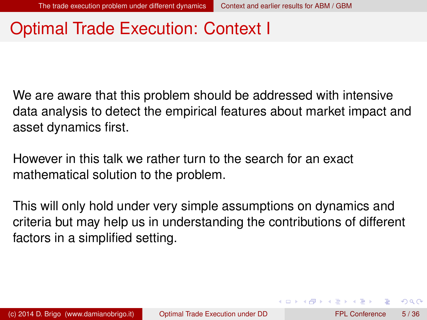## Optimal Trade Execution: Context I

We are aware that this problem should be addressed with intensive data analysis to detect the empirical features about market impact and asset dynamics first.

However in this talk we rather turn to the search for an exact mathematical solution to the problem.

This will only hold under very simple assumptions on dynamics and criteria but may help us in understanding the contributions of different factors in a simplified setting.

<span id="page-4-0"></span> $\Omega$ 

4 0 8 4 4 9 8 4 9 8 4 9 8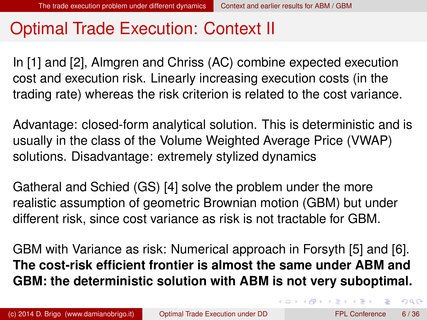## Optimal Trade Execution: Context II

In [\[1\]](#page-34-0) and [\[2\]](#page-34-1), Almgren and Chriss (AC) combine expected execution cost and execution risk. Linearly increasing execution costs (in the trading rate) whereas the risk criterion is related to the cost variance.

Advantage: closed-form analytical solution. This is deterministic and is usually in the class of the Volume Weighted Average Price (VWAP) solutions. Disadvantage: extremely stylized dynamics

Gatheral and Schied (GS) [\[4\]](#page-34-2) solve the problem under the more realistic assumption of geometric Brownian motion (GBM) but under different risk, since cost variance as risk is not tractable for GBM.

GBM with Variance as risk: Numerical approach in Forsyth [\[5\]](#page-35-1) and [\[6\]](#page-35-2). **The cost-risk efficient frontier is almost the same under ABM and GBM: the deterministic solution with ABM is not very suboptimal.**

<span id="page-5-0"></span> $QQ$ 

4 ロ ト 4 何 ト 4 ラ ト 4 ラ ト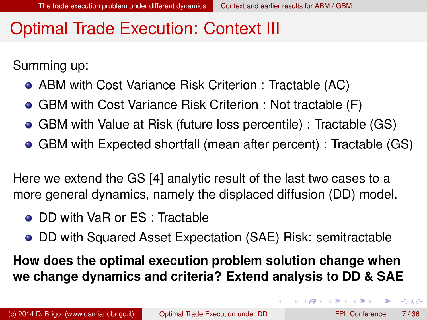#### Optimal Trade Execution: Context III

Summing up:

- ABM with Cost Variance Risk Criterion : Tractable (AC)
- GBM with Cost Variance Risk Criterion : Not tractable (F)
- GBM with Value at Risk (future loss percentile) : Tractable (GS)
- GBM with Expected shortfall (mean after percent) : Tractable (GS)

Here we extend the GS [\[4\]](#page-34-2) analytic result of the last two cases to a more general dynamics, namely the displaced diffusion (DD) model.

- DD with VaR or ES : Tractable
- DD with Squared Asset Expectation (SAE) Risk: semitractable

**How does the optimal execution problem solution change when we change dynamics and criteria? Extend analysis to DD & SAE**

<span id="page-6-0"></span> $\Omega$ 

4 ロ ト 4 何 ト 4 ラ ト 4 ラ ト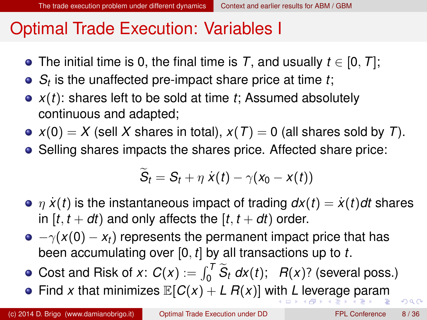#### Optimal Trade Execution: Variables I

- The initial time is 0, the final time is *T*, and usually *t* ∈ [0, *T*];
- *St* is the unaffected pre-impact share price at time *t*;
- *x*(*t*): shares left to be sold at time *t*; Assumed absolutely continuous and adapted;
- $x(0) = X$  (sell X shares in total),  $x(T) = 0$  (all shares sold by *T*).
- Selling shares impacts the shares price. Affected share price:

<span id="page-7-0"></span>
$$
\widetilde{S}_t = S_t + \eta \dot{x}(t) - \gamma(x_0 - x(t))
$$

- $\bullet$   $\eta$   $\dot{x}(t)$  is the instantaneous impact of trading  $dx(t) = \dot{x}(t)dt$  shares in  $[t, t + dt)$  and only affects the  $[t, t + dt)$  order.
- $\bullet$   $-\gamma(x(0) x_t)$  represents the permanent impact price that has been accumulating over [0, *t*] by all transactions up to *t*.
- Cost and Risk of *x*:  $C(x) := \int_0^T \widetilde{S}_t dx(t)$ ;  $R(x)$ ? (several poss.)
- •Find *x* that minimiz[e](#page-10-0)s  $\mathbb{E}[C(x) + L R(x)]$  $\mathbb{E}[C(x) + L R(x)]$  $\mathbb{E}[C(x) + L R(x)]$  w[ith](#page-6-0) *L* [l](#page-6-0)[ev](#page-7-0)e[r](#page-17-0)[a](#page-16-0)[g](#page-9-0)e [p](#page-2-0)ar[am](#page-0-0)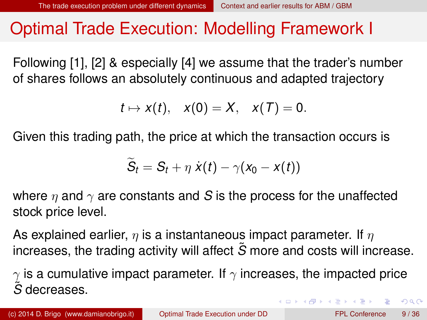#### Optimal Trade Execution: Modelling Framework I

Following [\[1\]](#page-34-0), [\[2\]](#page-34-1) & especially [\[4\]](#page-34-2) we assume that the trader's number of shares follows an absolutely continuous and adapted trajectory

$$
t\mapsto x(t),\quad x(0)=X,\quad x(T)=0.
$$

Given this trading path, the price at which the transaction occurs is

$$
\widetilde{S}_t = S_t + \eta \dot{x}(t) - \gamma(x_0 - x(t))
$$

where  $\eta$  and  $\gamma$  are constants and *S* is the process for the unaffected stock price level.

As explained earlier,  $\eta$  is a instantaneous impact parameter. If  $\eta$ increases, the trading activity will affect *S*˜ more and costs will increase.

 $\gamma$  is a cumulative impact parameter. If  $\gamma$  increases, the impacted price *S*˜ decreases.

<span id="page-8-0"></span> $\Omega$ 

4 ロ ト 4 何 ト 4 ラ ト 4 ラ ト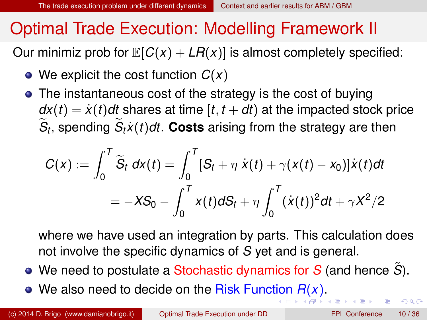#### Optimal Trade Execution: Modelling Framework II

Our minimiz prob for  $\mathbb{E}[C(x) + LR(x)]$  is almost completely specified:

- We explicit the cost function *C*(*x*)
- The instantaneous cost of the strategy is the cost of buying  $dx(t) = x(t)dt$  shares at time  $[t, t+dt)$  at the impacted stock price  $S_t$ , spending  $S_t\dot{x}(t)dt$ . Costs arising from the strategy are then

$$
C(x) := \int_0^T \widetilde{S}_t \, dx(t) = \int_0^T [S_t + \eta \, \dot{x}(t) + \gamma(x(t) - x_0)] \dot{x}(t) dt
$$
  
= 
$$
-XS_0 - \int_0^T x(t) dS_t + \eta \int_0^T (\dot{x}(t))^2 dt + \gamma X^2/2
$$

<span id="page-9-0"></span>where we have used an integration by parts. This calculation does not involve the specific dynamics of *S* yet and is general.

- We need to postulate a Stochastic dynamics for *S* (and hence *S*˜).
- We also need to decide on the Risk Func[tio](#page-8-0)n *[R](#page-7-0)*[\(](#page-8-0)*[x](#page-9-0)*[\)](#page-10-0)[.](#page-1-0)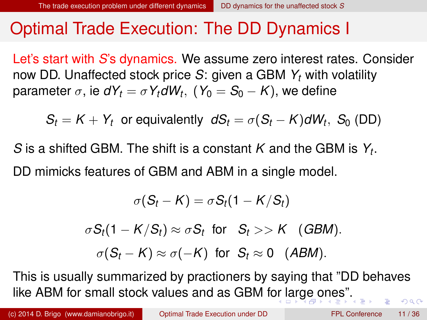#### Optimal Trade Execution: The DD Dynamics I

Let's start with *S*'s dynamics. We assume zero interest rates. Consider now DD. Unaffected stock price *S*: given a GBM *Y<sup>t</sup>* with volatility  $\mathsf{parameter}\ \sigma,$  ie  $\mathsf{d}{Y_t} = \sigma\, Y_t \mathsf{d}{W_t},\; (\mathsf{Y}_0 = \mathsf{S}_0 - \mathsf{K}),$  we define

 $S_t = K + Y_t$  or equivalently  $dS_t = \sigma(S_t - K)dW_t$ ,  $S_0$  (DD)

*S* is a shifted GBM. The shift is a constant *K* and the GBM is *Y<sup>t</sup>* . DD mimicks features of GBM and ABM in a single model.

<span id="page-10-0"></span>
$$
\sigma(S_t - K) = \sigma S_t (1 - K/S_t)
$$
  

$$
\sigma S_t (1 - K/S_t) \approx \sigma S_t \text{ for } S_t >> K \text{ (GBM)}.
$$
  

$$
\sigma(S_t - K) \approx \sigma(-K) \text{ for } S_t \approx 0 \text{ (ABM)}.
$$

This is usually summarized by practioners by saying that "DD behaves like ABM for small stock values and as GBM f[or](#page-9-0) l[ar](#page-11-0)[g](#page-9-0)[e](#page-10-0)[o](#page-12-0)[n](#page-9-0)[e](#page-10-0)[s](#page-11-0)["](#page-12-0)[.](#page-1-0)  $QQ$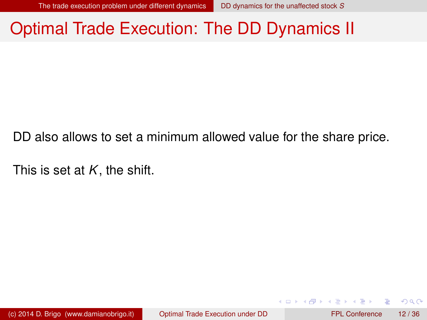#### Optimal Trade Execution: The DD Dynamics II

DD also allows to set a minimum allowed value for the share price.

This is set at *K*, the shift.

(c) 2014 D. Brigo (www.damianobrigo.it) [Optimal Trade Execution under DD](#page-0-0) FPL Conference 12 / 36

<span id="page-11-0"></span> $\Omega$ 

イロト イ押 トイラト イラト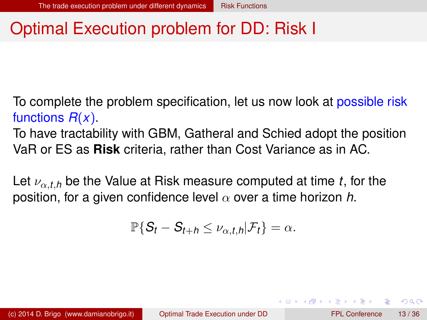#### Optimal Execution problem for DD: Risk I

To complete the problem specification, let us now look at possible risk functions *R*(*x*).

To have tractability with GBM, Gatheral and Schied adopt the position VaR or ES as **Risk** criteria, rather than Cost Variance as in AC.

Let  $\nu_{\alpha,t,h}$  be the Value at Risk measure computed at time *t*, for the position, for a given confidence level  $\alpha$  over a time horizon *h*.

$$
\mathbb{P}\{S_t-S_{t+h}\leq \nu_{\alpha,t,h}|\mathcal{F}_t\}=\alpha.
$$

<span id="page-12-0"></span> $\Omega$ 

イロト イ押ト イヨト イヨトー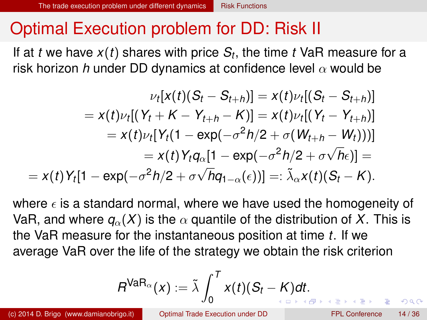## Optimal Execution problem for DD: Risk II

If at *t* we have *x*(*t*) shares with price *S<sup>t</sup>* , the time *t* VaR measure for a risk horizon *h* under DD dynamics at confidence level  $\alpha$  would be

$$
\nu_t[x(t)(S_t - S_{t+h})] = x(t)\nu_t[(S_t - S_{t+h})]
$$
  
=  $x(t)\nu_t[(Y_t + K - Y_{t+h} - K)] = x(t)\nu_t[(Y_t - Y_{t+h})]$   
=  $x(t)\nu_t[Y_t(1 - \exp(-\sigma^2 h/2 + \sigma(W_{t+h} - W_t)))]$   
=  $x(t)Y_tq_{\alpha}[1 - \exp(-\sigma^2 h/2 + \sigma\sqrt{h}\epsilon)] =$   
=  $x(t)Y_t[1 - \exp(-\sigma^2 h/2 + \sigma\sqrt{h}q_{1-\alpha}(\epsilon))] =: \tilde{\lambda}_{\alpha}x(t)(S_t - K).$ 

where  $\epsilon$  is a standard normal, where we have used the homogeneity of VaR, and where  $q_{\alpha}(X)$  is the  $\alpha$  quantile of the distribution of X. This is the VaR measure for the instantaneous position at time *t*. If we average VaR over the life of the strategy we obtain the risk criterion

$$
R^{\text{VaR}_{\alpha}}(x):=\tilde{\lambda}\int_0^T x(t)(S_t-K)dt.
$$

<span id="page-13-0"></span> $\Omega$ 

**Exist Exist**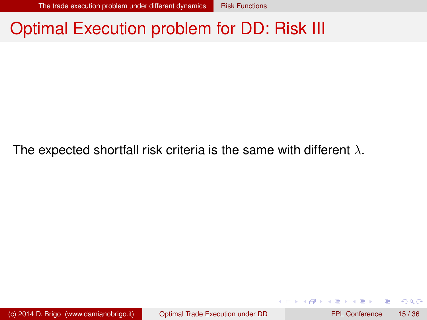#### Optimal Execution problem for DD: Risk III

The expected shortfall risk criteria is the same with different  $\lambda$ .

<span id="page-14-0"></span> $\Omega$ 

イロト イ押ト イヨト イヨト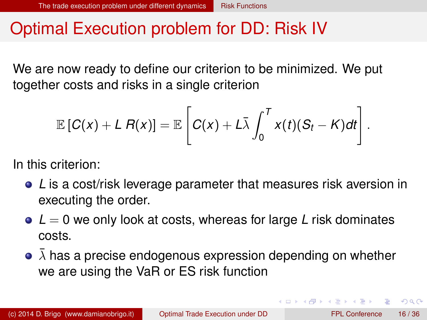#### Optimal Execution problem for DD: Risk IV

We are now ready to define our criterion to be minimized. We put together costs and risks in a single criterion

$$
\mathbb{E}\left[C(x)+L R(x)\right]=\mathbb{E}\left[C(x)+L\bar{\lambda}\int_0^T x(t)(S_t-K)dt\right].
$$

In this criterion:

- *L* is a cost/risk leverage parameter that measures risk aversion in executing the order.
- **■**  $L = 0$  we only look at costs, whereas for large *L* risk dominates costs.
- $\bullet$   $\bar{\lambda}$  has a precise endogenous expression depending on whether we are using the VaR or ES risk function

<span id="page-15-0"></span> $\Omega$ 

イロト イ押ト イヨト イヨト ニヨ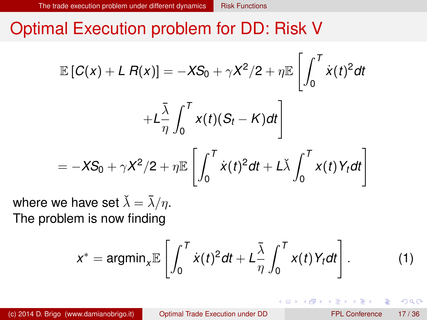#### Optimal Execution problem for DD: Risk V

$$
\mathbb{E}\left[C(x) + L R(x)\right] = -XS_0 + \gamma X^2/2 + \eta \mathbb{E}\left[\int_0^T \dot{x}(t)^2 dt + L\frac{\bar{\lambda}}{\eta} \int_0^T x(t)(S_t - K)dt\right]
$$

$$
= -XS_0 + \gamma X^2/2 + \eta \mathbb{E}\left[\int_0^T \dot{x}(t)^2 dt + L\dot{\lambda} \int_0^T x(t)Y_t dt\right]
$$

where we have set  $\lambda = \lambda/\eta$ . The problem is now finding

$$
x^* = \operatorname{argmin}_{x} \mathbb{E}\left[\int_0^T \dot{x}(t)^2 dt + L\frac{\bar{\lambda}}{\eta} \int_0^T x(t) Y_t dt\right].
$$
 (1)

**4 ロト 4 何 ト** 

<span id="page-16-0"></span> $\Omega$ 

 $\mathbf{A} \oplus \mathbf{A} \oplus \mathbf{A}$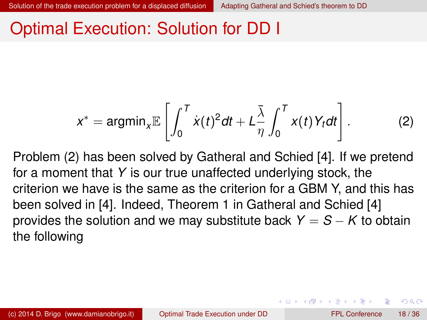#### Optimal Execution: Solution for DD I

<span id="page-17-1"></span>
$$
x^* = \operatorname{argmin}_{x} \mathbb{E}\left[\int_0^T \dot{x}(t)^2 dt + L\frac{\bar{\lambda}}{\eta} \int_0^T x(t) Y_t dt\right].
$$
 (2)

Problem [\(2\)](#page-17-1) has been solved by Gatheral and Schied [\[4\]](#page-34-2). If we pretend for a moment that *Y* is our true unaffected underlying stock, the criterion we have is the same as the criterion for a GBM Y, and this has been solved in [\[4\]](#page-34-2). Indeed, Theorem 1 in Gatheral and Schied [\[4\]](#page-34-2) provides the solution and we may substitute back  $Y = S - K$  to obtain the following

<span id="page-17-0"></span> $\Omega$ 

イロト イ押ト イヨト イヨト ニヨ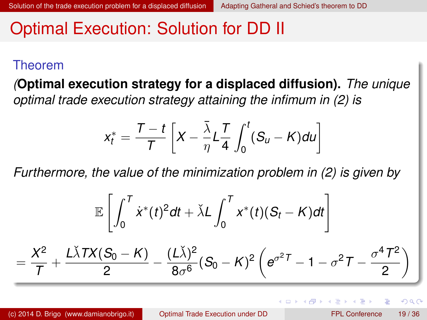#### Optimal Execution: Solution for DD II

#### Theorem

*(***Optimal execution strategy for a displaced diffusion).** *The unique optimal trade execution strategy attaining the infimum in [\(2\)](#page-17-1) is*

<span id="page-18-0"></span>
$$
x_t^* = \frac{T-t}{T}\left[X - \frac{\overline{\lambda}}{\eta}L\frac{T}{4}\int_0^t(S_u - K)du\right]
$$

*Furthermore, the value of the minimization problem in [\(2\)](#page-17-1) is given by*

$$
\mathbb{E}\left[\int_0^T \dot{x}^*(t)^2 dt + \check{\lambda} L \int_0^T x^*(t)(S_t - K) dt\right]
$$
  
=  $\frac{X^2}{T} + \frac{L\check{\lambda} TX(S_0 - K)}{2} - \frac{(L\check{\lambda})^2}{8\sigma^6} (S_0 - K)^2 \left(e^{\sigma^2 T} - 1 - \sigma^2 T - \frac{\sigma^4 T^2}{2}\right)$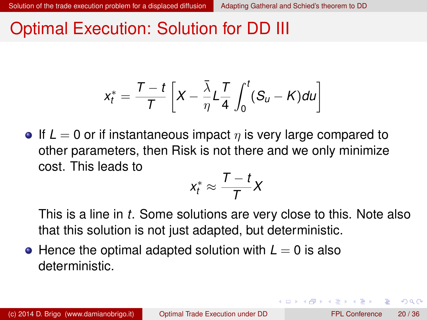#### Optimal Execution: Solution for DD III

$$
x_t^* = \frac{T-t}{T}\left[X - \frac{\overline{\lambda}}{\eta}L\frac{T}{4}\int_0^t(S_u - K)du\right]
$$

**If**  $L = 0$  or if instantaneous impact  $\eta$  is very large compared to other parameters, then Risk is not there and we only minimize cost. This leads to

$$
x_t^* \approx \frac{T-t}{T}X
$$

This is a line in *t*. Some solutions are very close to this. Note also that this solution is not just adapted, but deterministic.

 $\bullet$  Hence the optimal adapted solution with  $L = 0$  is also deterministic.

<span id="page-19-0"></span> $\Omega$ 

イロト イ押 トイラト イラト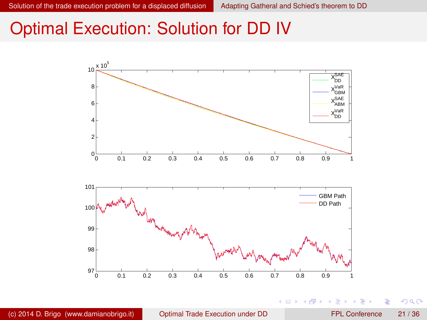4 0 8

4 同 下

B  $\mathbf{h}$  $\rightarrow$   $\equiv$ 

#### Optimal Execution: Solution for DD IV



Þ

<span id="page-20-0"></span> $299$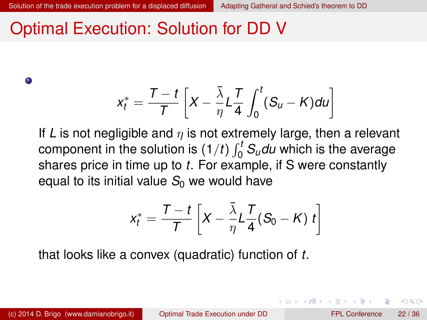#### Optimal Execution: Solution for DD V

 $\bullet$ 

$$
x_t^* = \frac{T-t}{T}\left[X - \frac{\bar{\lambda}}{\eta}L\frac{T}{4}\int_0^t(S_u - K)du\right]
$$

If L is not negligible and  $\eta$  is not extremely large, then a relevant component in the solution is  $(1/t) \int_0^t S_u du$  which is the average shares price in time up to *t*. For example, if S were constantly equal to its initial value  $S_0$  we would have

<span id="page-21-0"></span>
$$
x_t^* = \frac{T-t}{T} \left[ X - \frac{\bar{\lambda}}{\eta} L \frac{T}{4} (S_0 - K) t \right]
$$

that looks like a convex (quadratic) function of *t*.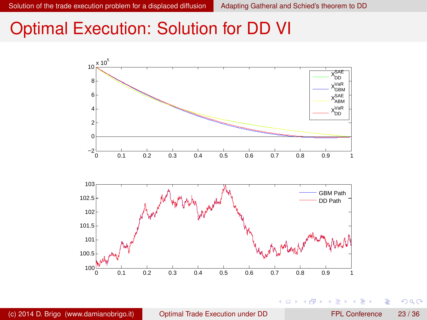4 0 8  $\mathcal{A}$ 画  $\mathbf{h}$ B.N.  $\rightarrow$   $\pm$ 

#### Optimal Execution: Solution for DD VI



(c) 2014 D. Brigo (www.damianobrigo.it) [Optimal Trade Execution under DD](#page-0-0) FPL Conference 23 / 36

Þ

<span id="page-22-0"></span> $290$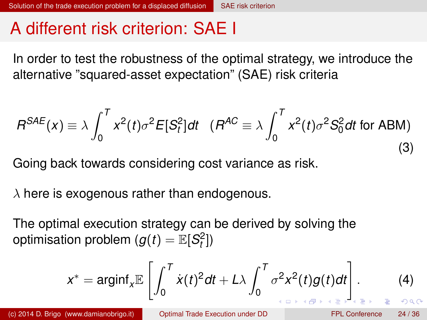#### A different risk criterion: SAE I

In order to test the robustness of the optimal strategy, we introduce the alternative "squared-asset expectation" (SAE) risk criteria

$$
B^{SAE}(x) \equiv \lambda \int_0^T x^2(t) \sigma^2 E[S_t^2] dt \quad (B^{AC} \equiv \lambda \int_0^T x^2(t) \sigma^2 S_0^2 dt \text{ for ABM})
$$
\n(3)

Going back towards considering cost variance as risk.

 $\lambda$  here is exogenous rather than endogenous.

The optimal execution strategy can be derived by solving the optimisation problem  $(g(t) = \mathbb{E}[S_t^2])$ 

<span id="page-23-0"></span>
$$
x^* = \operatorname{arginf}_{x} \mathbb{E}\left[\int_0^T \dot{x}(t)^2 dt + L\lambda \int_0^T \sigma^2 x^2(t)g(t)dt\right].
$$
 (4)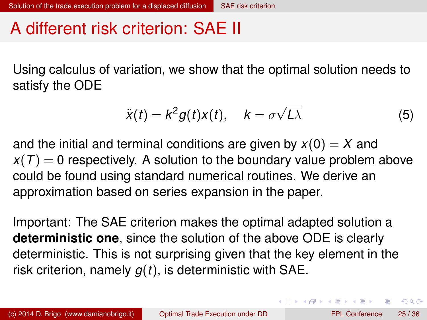## A different risk criterion: SAE II

Using calculus of variation, we show that the optimal solution needs to satisfy the ODE

$$
\ddot{x}(t) = k^2 g(t)x(t), \quad k = \sigma \sqrt{L\lambda}
$$
 (5)

and the initial and terminal conditions are given by  $x(0) = X$  and  $x(T) = 0$  respectively. A solution to the boundary value problem above could be found using standard numerical routines. We derive an approximation based on series expansion in the paper.

Important: The SAE criterion makes the optimal adapted solution a **deterministic one**, since the solution of the above ODE is clearly deterministic. This is not surprising given that the key element in the risk criterion, namely *g*(*t*), is deterministic with SAE.

<span id="page-24-0"></span> $\Omega$ 

 $(0.125 \times 10^{-14} \text{ m}) \times 10^{-14} \text{ m}$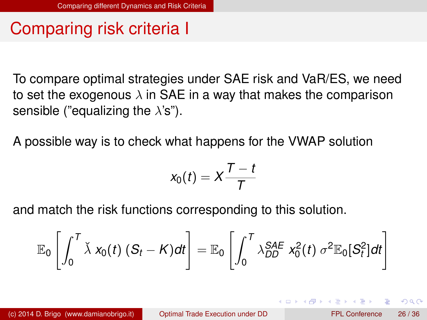## Comparing risk criteria I

To compare optimal strategies under SAE risk and VaR/ES, we need to set the exogenous  $\lambda$  in SAE in a way that makes the comparison sensible ("equalizing the  $\lambda$ 's").

A possible way is to check what happens for the VWAP solution

$$
x_0(t)=X\frac{T-t}{T}
$$

and match the risk functions corresponding to this solution.

$$
\mathbb{E}_0\left[\int_0^T \breve{\lambda} \; x_0(t) \; (S_t-K) dt\right] = \mathbb{E}_0\left[\int_0^T \lambda_{DD}^{SAE} \; x_0^2(t) \; \sigma^2 \mathbb{E}_0[S_t^2] dt\right]
$$

<span id="page-25-0"></span>∽≏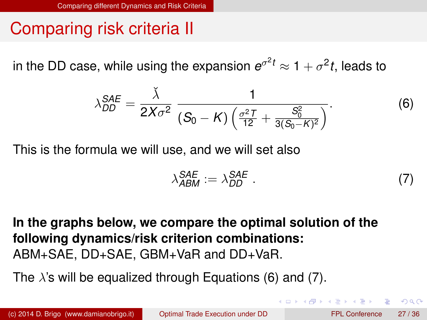## Comparing risk criteria II

in the DD case, while using the expansion  $e^{\sigma^2 t} \approx 1 + \sigma^2 t$ , leads to

<span id="page-26-1"></span>
$$
\lambda_{DD}^{SAE} = \frac{\check{\lambda}}{2X\sigma^2} \frac{1}{(S_0 - K)\left(\frac{\sigma^2 T}{12} + \frac{S_0^2}{3(S_0 - K)^2}\right)}.
$$
(6)

This is the formula we will use, and we will set also

<span id="page-26-2"></span>
$$
\lambda_{ABM}^{SAE} := \lambda_{DD}^{SAE} \tag{7}
$$

**In the graphs below, we compare the optimal solution of the following dynamics/risk criterion combinations:** ABM+SAE, DD+SAE, GBM+VaR and DD+VaR.

The  $\lambda$ 's will be equalized through Equations [\(6\)](#page-26-1) and [\(7\)](#page-26-2).

<span id="page-26-0"></span> $\Omega$ 

イロ トラ 河 トラッチ トラート・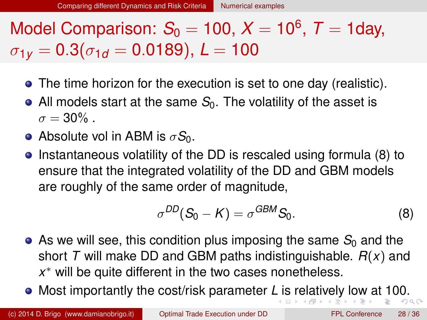# Model Comparison:  $S_0 = 100, X = 10^6, T = 1$ day,  $\sigma_{1v} = 0.3(\sigma_{1d} = 0.0189), L = 100$

- The time horizon for the execution is set to one day (realistic).
- All models start at the same  $S<sub>0</sub>$ . The volatility of the asset is  $\sigma = 30\%$ .
- **•** Absolute vol in ABM is  $\sigma S_0$ .
- Instantaneous volatility of the DD is rescaled using formula [\(8\)](#page-27-1) to ensure that the integrated volatility of the DD and GBM models are roughly of the same order of magnitude,

<span id="page-27-1"></span><span id="page-27-0"></span>
$$
\sigma^{DD}(S_0 - K) = \sigma^{GBM} S_0.
$$
 (8)

- $\bullet$  As we will see, this condition plus imposing the same  $S_0$  and the short *T* will make DD and GBM paths indistinguishable. *R*(*x*) and *x* <sup>∗</sup> will be quite different in the two cases nonetheless.
- Most importantly the cost/risk parameter *L* [is](#page-26-0) [r](#page-28-0)[e](#page-26-0)[lat](#page-27-0)[i](#page-28-0)[v](#page-26-0)[el](#page-27-0)[y](#page-31-0) [l](#page-32-0)[o](#page-24-0)[w](#page-31-0) [a](#page-32-0)[t](#page-0-0) [100](#page-35-0).  $\Omega$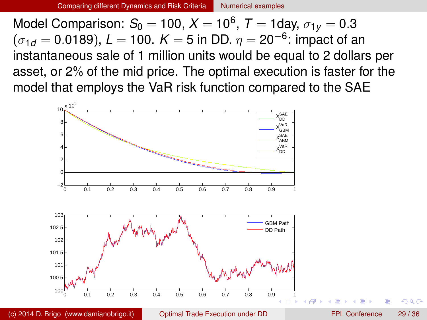Model Comparison: *S*<sup>0</sup> = 100, *X* = 10<sup>6</sup> , *T* = 1day, σ1*<sup>y</sup>* = 0.3  $(\sigma_{1d}=0.0189)$ ,  $\mathsf{L}=100.~\mathsf{K}=5$  in DD.  $\eta=$  20 $^{-6}$ : impact of an instantaneous sale of 1 million units would be equal to 2 dollars per asset, or 2% of the mid price. The optimal execution is faster for the model that employs the VaR risk function compared to the SAE



(c) 2014 D. Brigo (www.damianobrigo.it) [Optimal Trade Execution under DD](#page-0-0) FPL Conference 29 / 36

<span id="page-28-0"></span>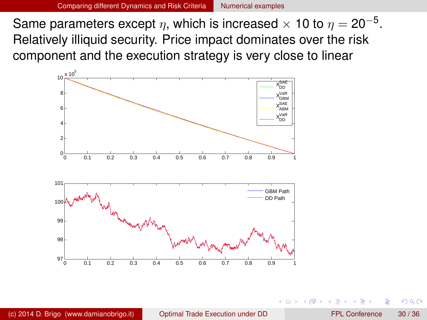Same parameters except  $\eta,$  which is increased  $\times$  10 to  $\eta =$  20 $^{-5}.$ Relatively illiquid security. Price impact dominates over the risk component and the execution strategy is very close to linear

<span id="page-29-0"></span>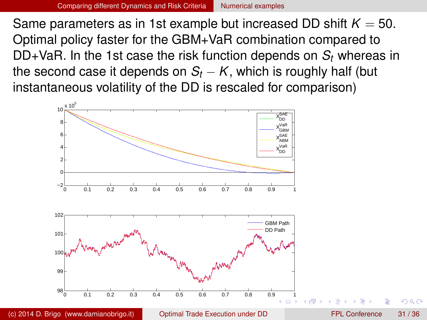Same parameters as in 1st example but increased DD shift  $K = 50$ . Optimal policy faster for the GBM+VaR combination compared to DD+VaR. In the 1st case the risk function depends on *S<sup>t</sup>* whereas in the second case it depends on  $S_t - K$ , which is roughly half (but instantaneous volatility of the DD is rescaled for comparison)



(c) 2014 D. Brigo (www.damianobrigo.it) [Optimal Trade Execution under DD](#page-0-0) FPL Conference 31 / 36

<span id="page-30-0"></span>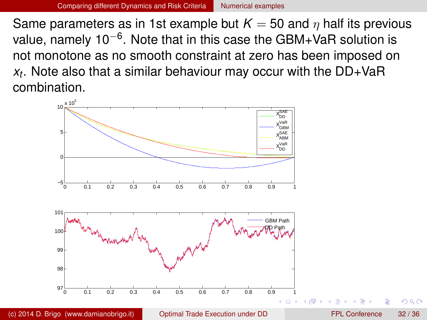Same parameters as in 1st example but  $K = 50$  and  $\eta$  half its previous value, namely 10<sup>–6</sup>. Note that in this case the GBM+VaR solution is not monotone as no smooth constraint at zero has been imposed on *xt* . Note also that a similar behaviour may occur with the DD+VaR combination.



<span id="page-31-0"></span>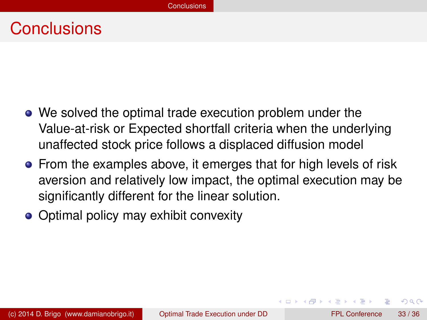#### **Conclusions**

- We solved the optimal trade execution problem under the Value-at-risk or Expected shortfall criteria when the underlying unaffected stock price follows a displaced diffusion model
- **•** From the examples above, it emerges that for high levels of risk aversion and relatively low impact, the optimal execution may be significantly different for the linear solution.
- Optimal policy may exhibit convexity

<span id="page-32-0"></span> $\Omega$ 

化重氮化重氮化

 $\leftarrow$   $\Box$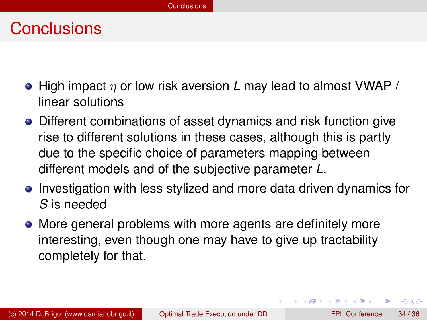#### **Conclusions**

- High impact η or low risk aversion *L* may lead to almost VWAP / linear solutions
- Different combinations of asset dynamics and risk function give rise to different solutions in these cases, although this is partly due to the specific choice of parameters mapping between different models and of the subjective parameter *L*.
- Investigation with less stylized and more data driven dynamics for *S* is needed
- More general problems with more agents are definitely more interesting, even though one may have to give up tractability completely for that.

 $\equiv$ 

<span id="page-33-0"></span> $\Omega$ 

イロト イ押ト イヨト イヨト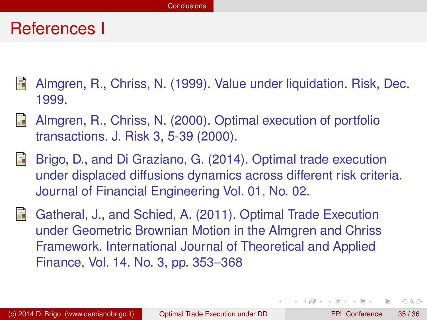#### References I

- <span id="page-34-0"></span>Almgren, R., Chriss, N. (1999). Value under liquidation. Risk, Dec. 1999.
- <span id="page-34-1"></span>R Almgren, R., Chriss, N. (2000). Optimal execution of portfolio transactions. J. Risk 3, 5-39 (2000).
- 譶 Brigo, D., and Di Graziano, G. (2014). Optimal trade execution under displaced diffusions dynamics across different risk criteria. Journal of Financial Engineering Vol. 01, No. 02.
- <span id="page-34-2"></span>Gatheral, J., and Schied, A. (2011). Optimal Trade Execution under Geometric Brownian Motion in the Almgren and Chriss Framework. International Journal of Theoretical and Applied Finance, Vol. 14, No. 3, pp. 353–368

<span id="page-34-3"></span> $\Omega$ 

イロト イ押ト イヨト イヨト ニヨ